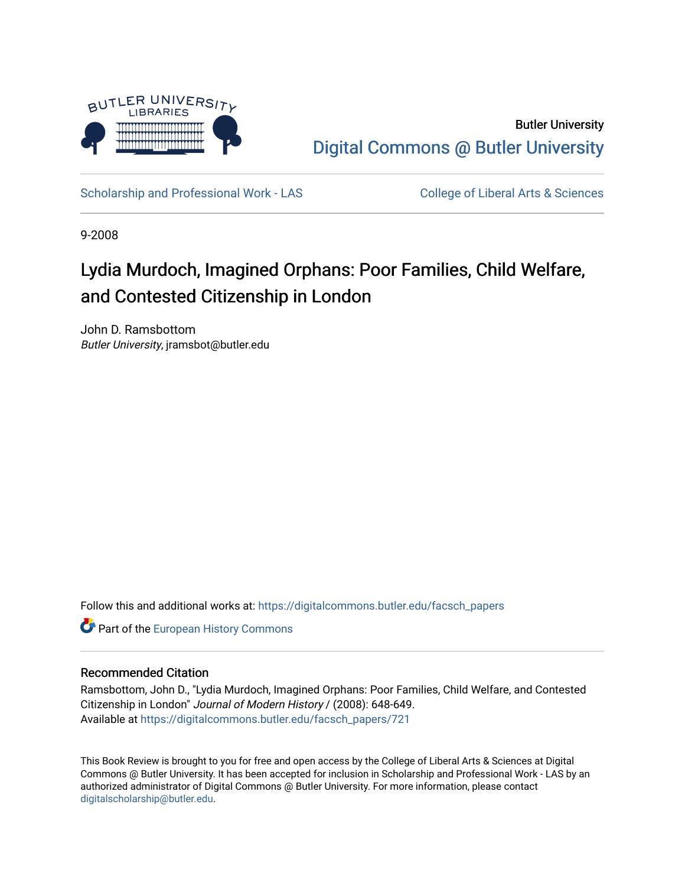

Butler University [Digital Commons @ Butler University](https://digitalcommons.butler.edu/) 

[Scholarship and Professional Work - LAS](https://digitalcommons.butler.edu/facsch_papers) College of Liberal Arts & Sciences

9-2008

## Lydia Murdoch, Imagined Orphans: Poor Families, Child Welfare, and Contested Citizenship in London

John D. Ramsbottom Butler University, jramsbot@butler.edu

Follow this and additional works at: [https://digitalcommons.butler.edu/facsch\\_papers](https://digitalcommons.butler.edu/facsch_papers?utm_source=digitalcommons.butler.edu%2Ffacsch_papers%2F721&utm_medium=PDF&utm_campaign=PDFCoverPages)

**Part of the [European History Commons](http://network.bepress.com/hgg/discipline/492?utm_source=digitalcommons.butler.edu%2Ffacsch_papers%2F721&utm_medium=PDF&utm_campaign=PDFCoverPages)** 

## Recommended Citation

Ramsbottom, John D., "Lydia Murdoch, Imagined Orphans: Poor Families, Child Welfare, and Contested Citizenship in London" Journal of Modern History / (2008): 648-649. Available at [https://digitalcommons.butler.edu/facsch\\_papers/721](https://digitalcommons.butler.edu/facsch_papers/721?utm_source=digitalcommons.butler.edu%2Ffacsch_papers%2F721&utm_medium=PDF&utm_campaign=PDFCoverPages) 

This Book Review is brought to you for free and open access by the College of Liberal Arts & Sciences at Digital Commons @ Butler University. It has been accepted for inclusion in Scholarship and Professional Work - LAS by an authorized administrator of Digital Commons @ Butler University. For more information, please contact [digitalscholarship@butler.edu.](mailto:digitalscholarship@butler.edu)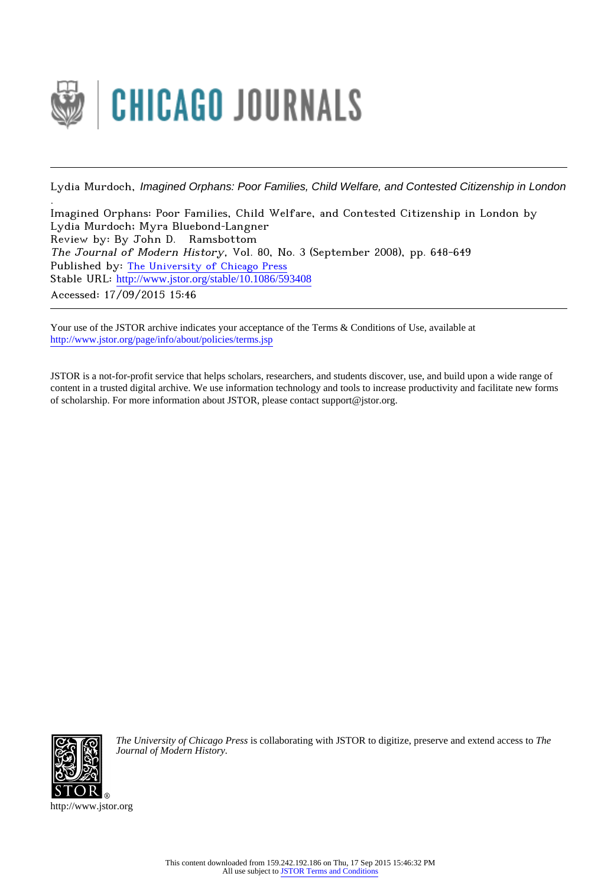

Lydia Murdoch, Imagined Orphans: Poor Families, Child Welfare, and Contested Citizenship in London

Imagined Orphans: Poor Families, Child Welfare, and Contested Citizenship in London by Lydia Murdoch; Myra Bluebond‐Langner Review by: By John D. Ramsbottom The Journal of Modern History, Vol. 80, No. 3 (September 2008), pp. 648-649 Published by: [The University of Chicago Press](http://www.jstor.org/action/showPublisher?publisherCode=ucpress) Stable URL: http://www.jstor.org/stable/10.1086/593408 Accessed: 17/09/2015 15:46

Your use of the JSTOR archive indicates your acceptance of the Terms & Conditions of Use, available at <http://www.jstor.org/page/info/about/policies/terms.jsp>

JSTOR is a not-for-profit service that helps scholars, researchers, and students discover, use, and build upon a wide range of content in a trusted digital archive. We use information technology and tools to increase productivity and facilitate new forms of scholarship. For more information about JSTOR, please contact support@jstor.org.



.

*The University of Chicago Press* is collaborating with JSTOR to digitize, preserve and extend access to *The Journal of Modern History.*

http://www.jstor.org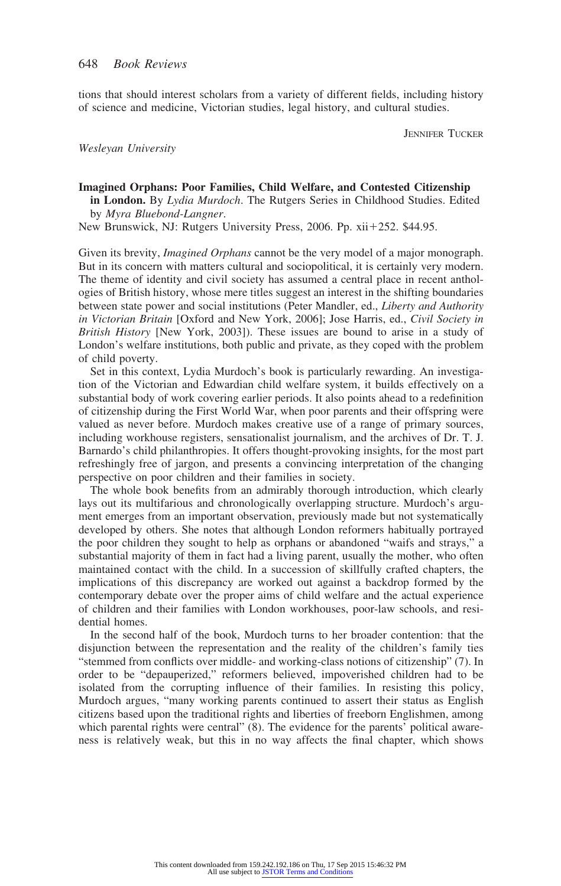tions that should interest scholars from a variety of different fields, including history of science and medicine, Victorian studies, legal history, and cultural studies.

JENNIFER TUCKER

*Wesleyan University*

## **Imagined Orphans: Poor Families, Child Welfare, and Contested Citizenship**

**in London.** By *Lydia Murdoch*. The Rutgers Series in Childhood Studies. Edited by *Myra Bluebond-Langner*.

New Brunswick, NJ: Rutgers University Press, 2006. Pp. xii+252. \$44.95.

Given its brevity, *Imagined Orphans* cannot be the very model of a major monograph. But in its concern with matters cultural and sociopolitical, it is certainly very modern. The theme of identity and civil society has assumed a central place in recent anthologies of British history, whose mere titles suggest an interest in the shifting boundaries between state power and social institutions (Peter Mandler, ed., *Liberty and Authority in Victorian Britain* [Oxford and New York, 2006]; Jose Harris, ed., *Civil Society in British History* [New York, 2003]). These issues are bound to arise in a study of London's welfare institutions, both public and private, as they coped with the problem of child poverty.

Set in this context, Lydia Murdoch's book is particularly rewarding. An investigation of the Victorian and Edwardian child welfare system, it builds effectively on a substantial body of work covering earlier periods. It also points ahead to a redefinition of citizenship during the First World War, when poor parents and their offspring were valued as never before. Murdoch makes creative use of a range of primary sources, including workhouse registers, sensationalist journalism, and the archives of Dr. T. J. Barnardo's child philanthropies. It offers thought-provoking insights, for the most part refreshingly free of jargon, and presents a convincing interpretation of the changing perspective on poor children and their families in society.

The whole book benefits from an admirably thorough introduction, which clearly lays out its multifarious and chronologically overlapping structure. Murdoch's argument emerges from an important observation, previously made but not systematically developed by others. She notes that although London reformers habitually portrayed the poor children they sought to help as orphans or abandoned "waifs and strays," a substantial majority of them in fact had a living parent, usually the mother, who often maintained contact with the child. In a succession of skillfully crafted chapters, the implications of this discrepancy are worked out against a backdrop formed by the contemporary debate over the proper aims of child welfare and the actual experience of children and their families with London workhouses, poor-law schools, and residential homes.

In the second half of the book, Murdoch turns to her broader contention: that the disjunction between the representation and the reality of the children's family ties "stemmed from conflicts over middle- and working-class notions of citizenship" (7). In order to be "depauperized," reformers believed, impoverished children had to be isolated from the corrupting influence of their families. In resisting this policy, Murdoch argues, "many working parents continued to assert their status as English citizens based upon the traditional rights and liberties of freeborn Englishmen, among which parental rights were central" (8). The evidence for the parents' political awareness is relatively weak, but this in no way affects the final chapter, which shows